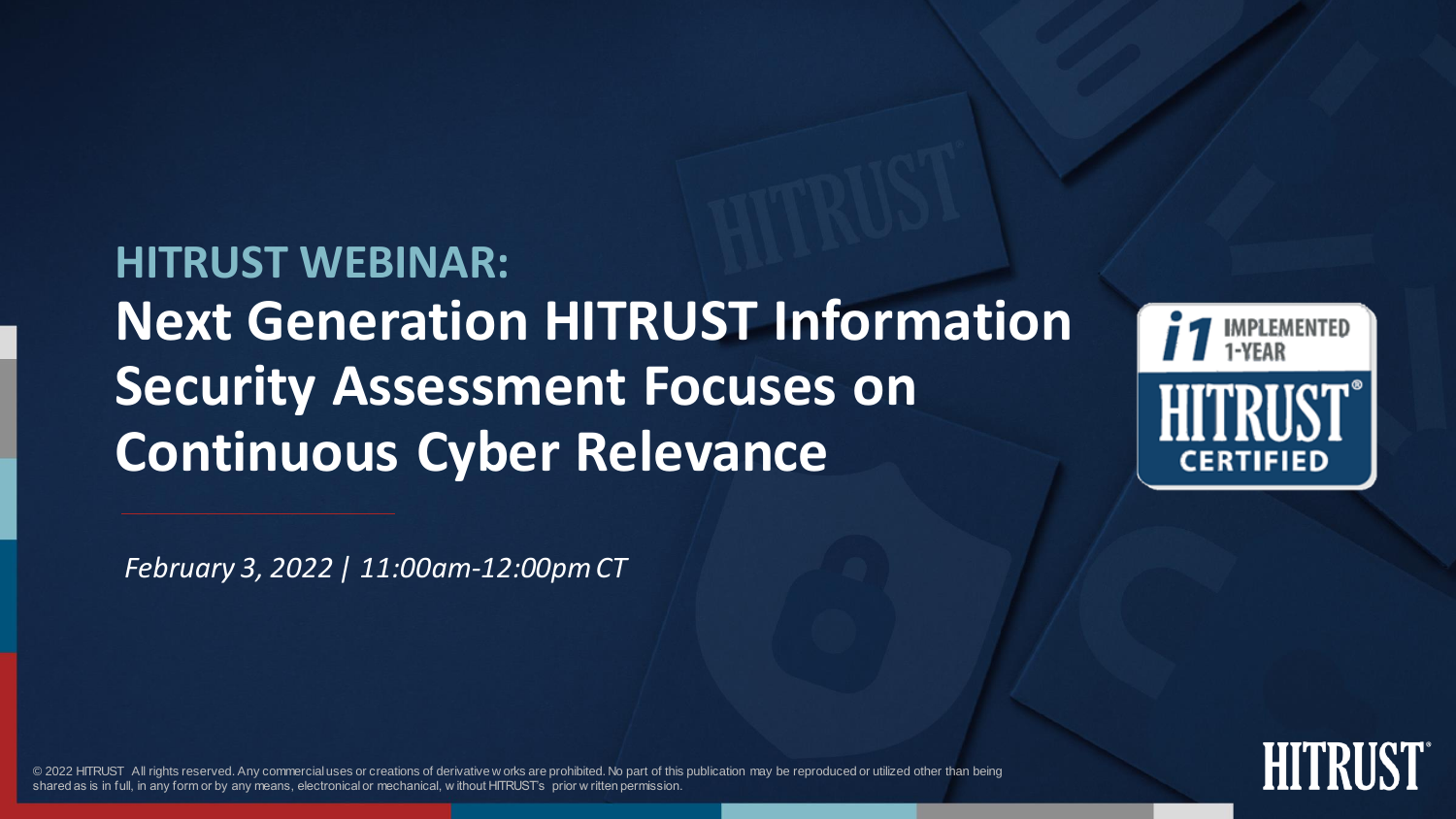**HITRUST WEBINAR: Next Generation HITRUST Information Security Assessment Focuses on Continuous Cyber Relevance**



*February 3, 2022 | 11:00am-12:00pm CT*

© 2022 HITRUST All rights reserved. Any commercial uses or creations of derivative w orks are prohibited. No part of this publication may be reproduced or utilized other than being shared as is in full, in any form or by any means, electronical or mechanical, w ithout HITRUST's prior w ritten permission.

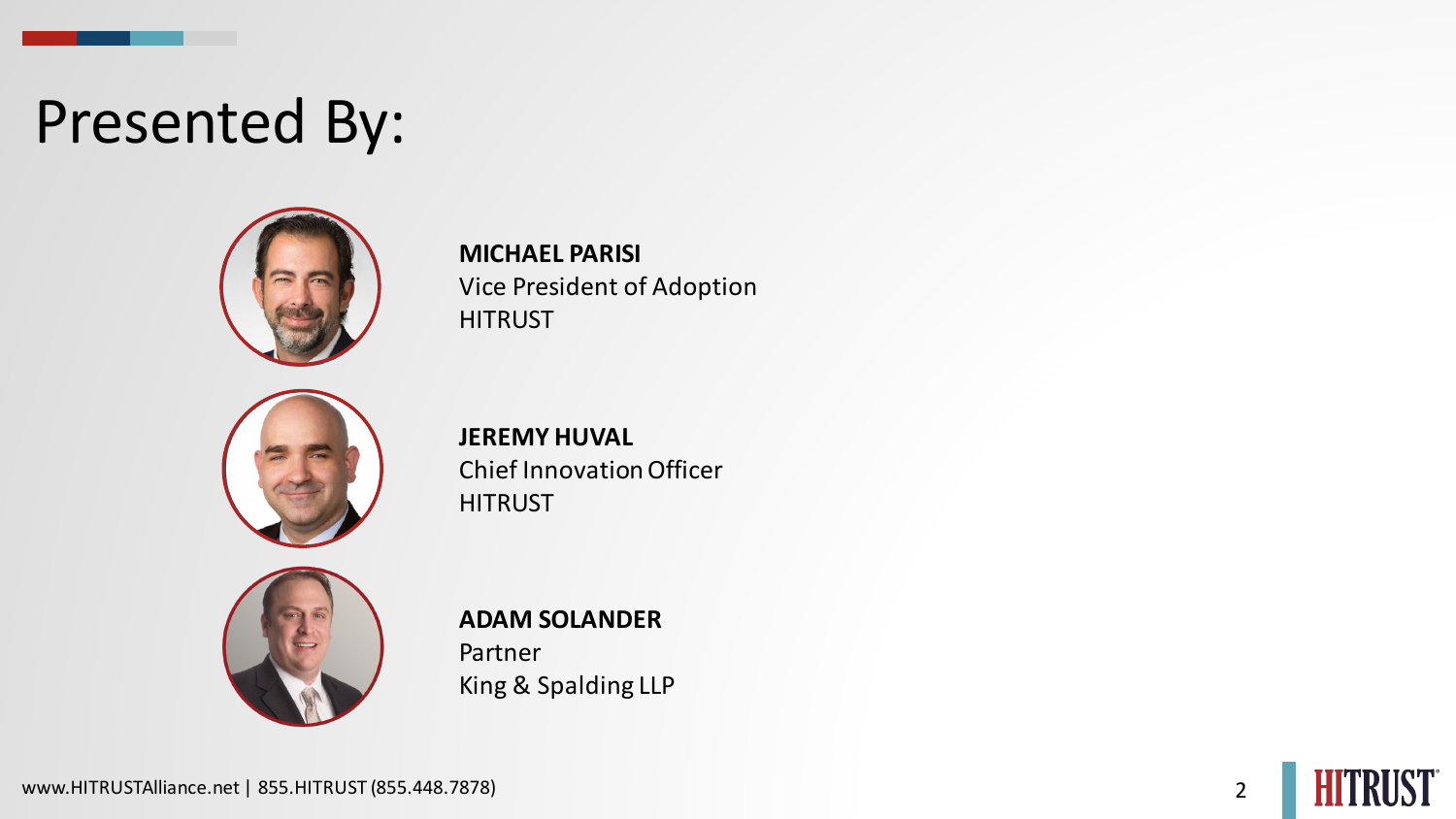### Presented By:



**MICHAEL PARISI** Vice President of Adoption **HITRUST** 



**JEREMY HUVAL** Chief Innovation Officer **HITRUST** 



#### **ADAM SOLANDER**

Partner King & Spalding LLP

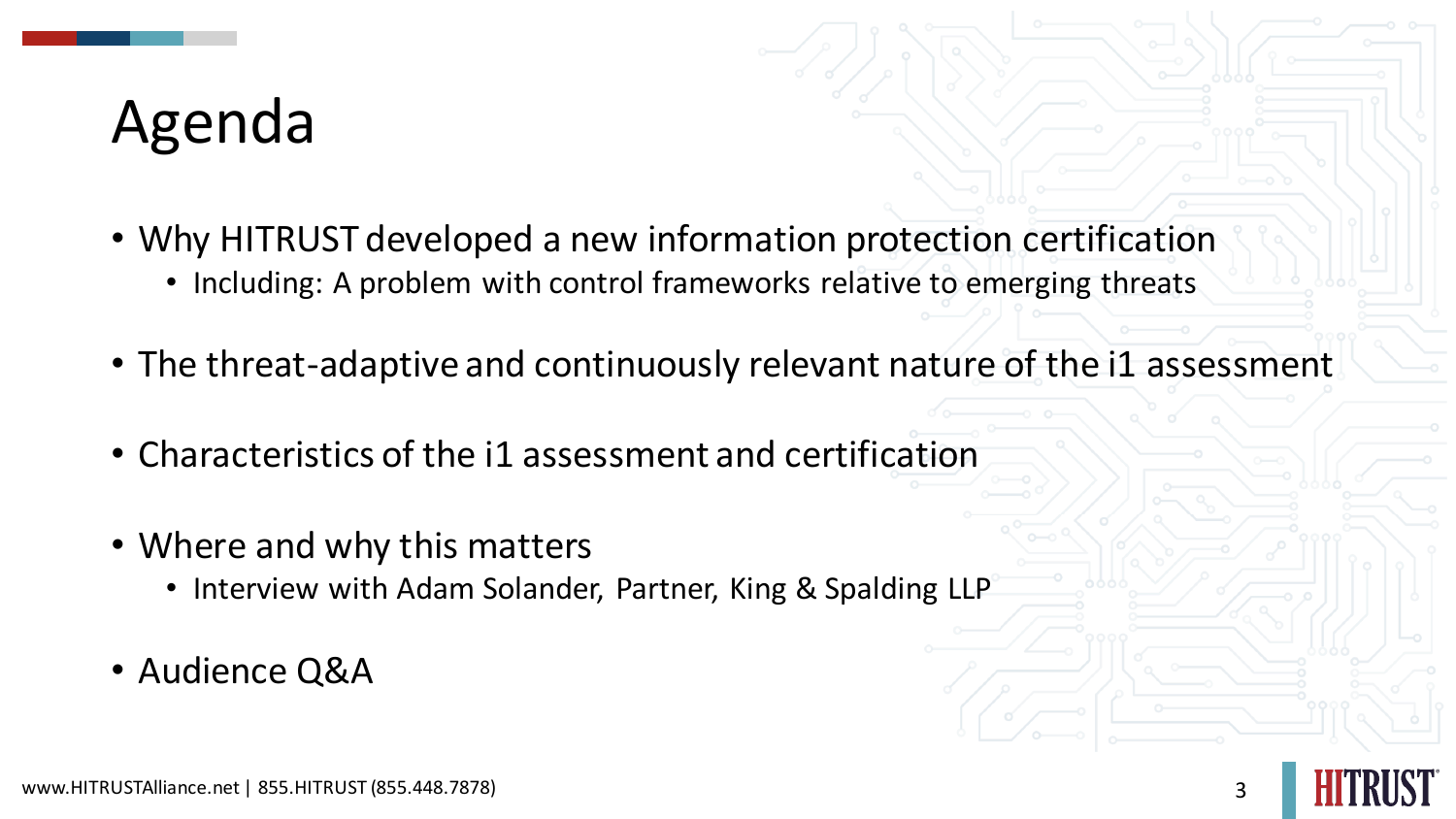## Agenda

- Why HITRUST developed a new information protection certification
	- Including: A problem with control frameworks relative to emerging threats
- The threat-adaptive and continuously relevant nature of the i1 assessment
- Characteristics of the i1 assessment and certification
- Where and why this matters
	- Interview with Adam Solander, Partner, King & Spalding LLP
- Audience Q&A

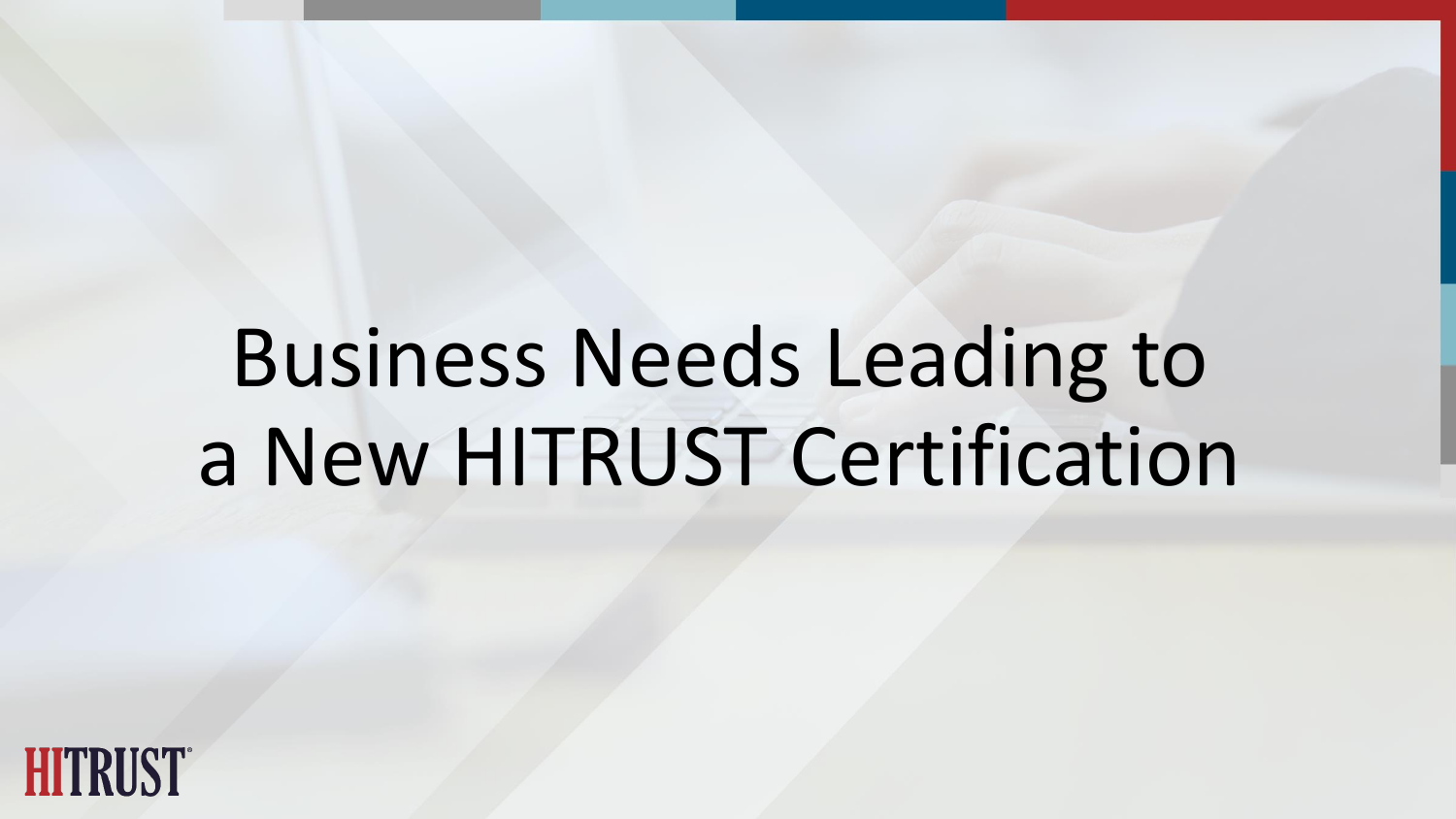# Business Needs Leading to a New HITRUST Certification

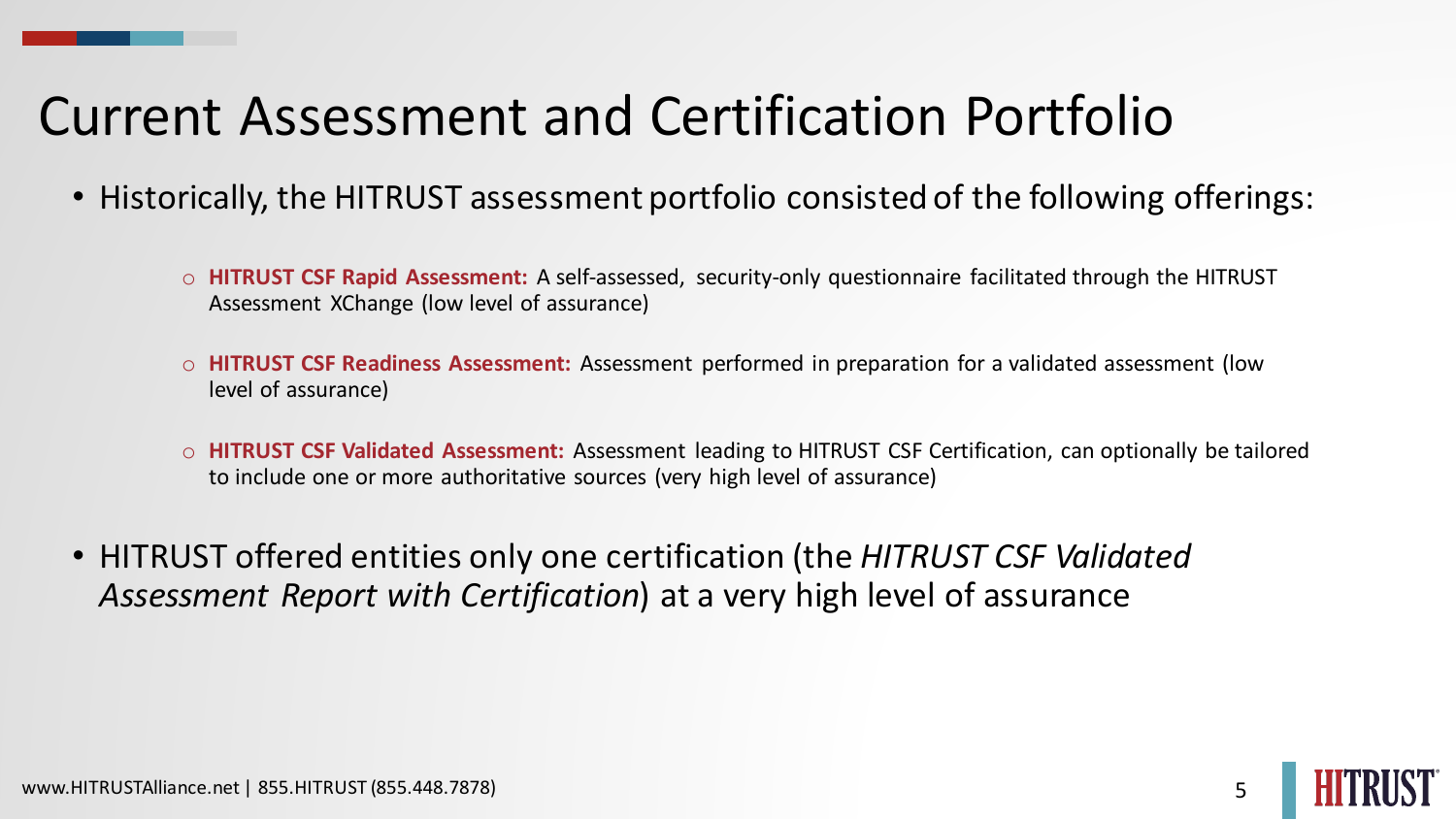#### Current Assessment and Certification Portfolio

- Historically, the HITRUST assessment portfolio consisted of the following offerings:
	- o **HITRUST CSF Rapid Assessment:** A self-assessed, security-only questionnaire facilitated through the HITRUST Assessment XChange (low level of assurance)
	- o **HITRUST CSF Readiness Assessment:** Assessment performed in preparation for a validated assessment (low level of assurance)
	- o **HITRUST CSF Validated Assessment:** Assessment leading to HITRUST CSF Certification, can optionally be tailored to include one or more authoritative sources (very high level of assurance)
- HITRUST offered entities only one certification (the *HITRUST CSF Validated Assessment Report with Certification*) at a very high level of assurance

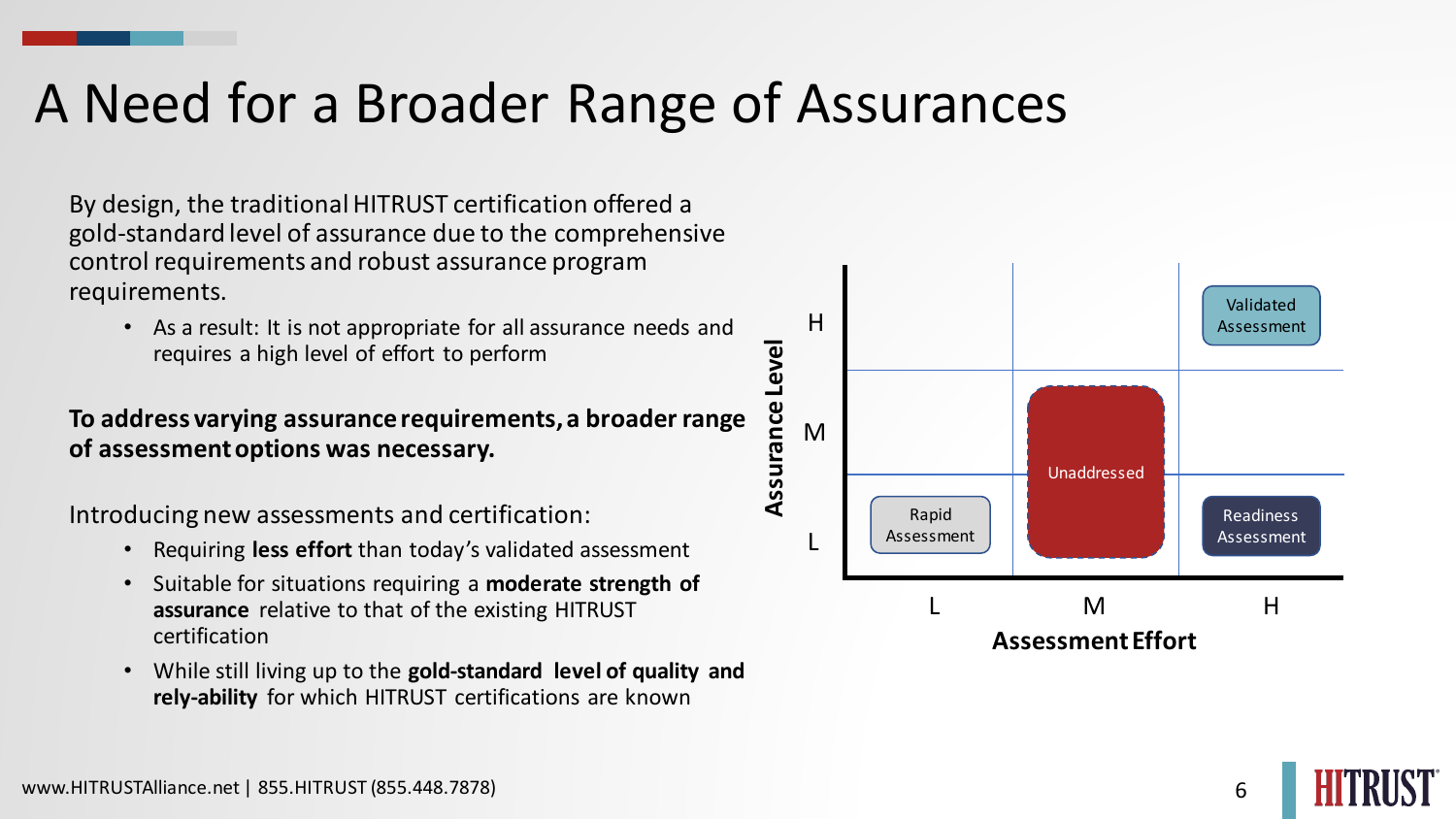#### A Need for a Broader Range of Assurances

By design, the traditional HITRUST certification offered a gold-standard level of assurance due to the comprehensive control requirements and robust assurance program requirements.

• As a result: It is not appropriate for all assurance needs and requires a high level of effort to perform

#### **To address varying assurance requirements, a broader range of assessment options was necessary.**

Introducing new assessments and certification:

- Requiring **less effort** than today's validated assessment
- Suitable for situations requiring a **moderate strength of assurance** relative to that of the existing HITRUST certification
- While still living up to the **gold-standard level of quality and rely-ability** for which HITRUST certifications are known



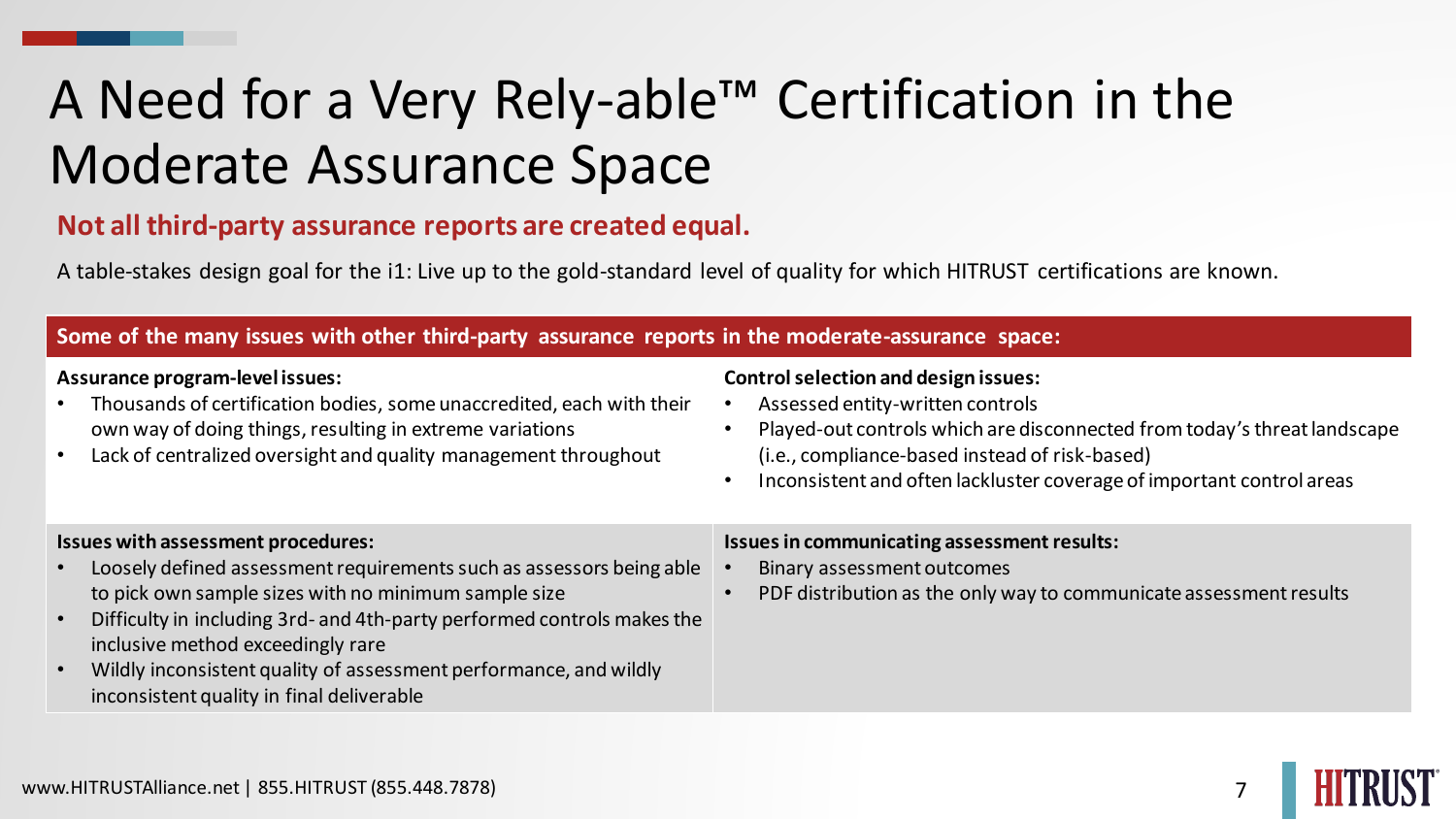### A Need for a Very Rely-able™ Certification in the Moderate Assurance Space

#### **Not all third-party assurance reports are created equal.**

A table-stakes design goal for the i1: Live up to the gold-standard level of quality for which HITRUST certifications are known.

#### **Some of the many issues with other third-party assurance reports in the moderate-assurance space:**

#### **Assurance program-level issues:**

- Thousands of certification bodies, some unaccredited, each with their own way of doing things, resulting in extreme variations
- Lack of centralized oversight and quality management throughout

#### **Control selection and design issues:**

- Assessed entity-written controls
- Played-out controls which are disconnected from today's threat landscape (i.e., compliance-based instead of risk-based)
- Inconsistent and often lackluster coverage of important control areas

#### **Issues with assessment procedures:**

- Loosely defined assessment requirements such as assessors being able to pick own sample sizes with no minimum sample size
- Difficulty in including 3rd- and 4th-party performed controls makes the inclusive method exceedingly rare
- Wildly inconsistent quality of assessment performance, and wildly inconsistent quality in final deliverable

#### **Issues in communicating assessment results:**

- Binary assessment outcomes
- PDF distribution as the only way to communicate assessment results

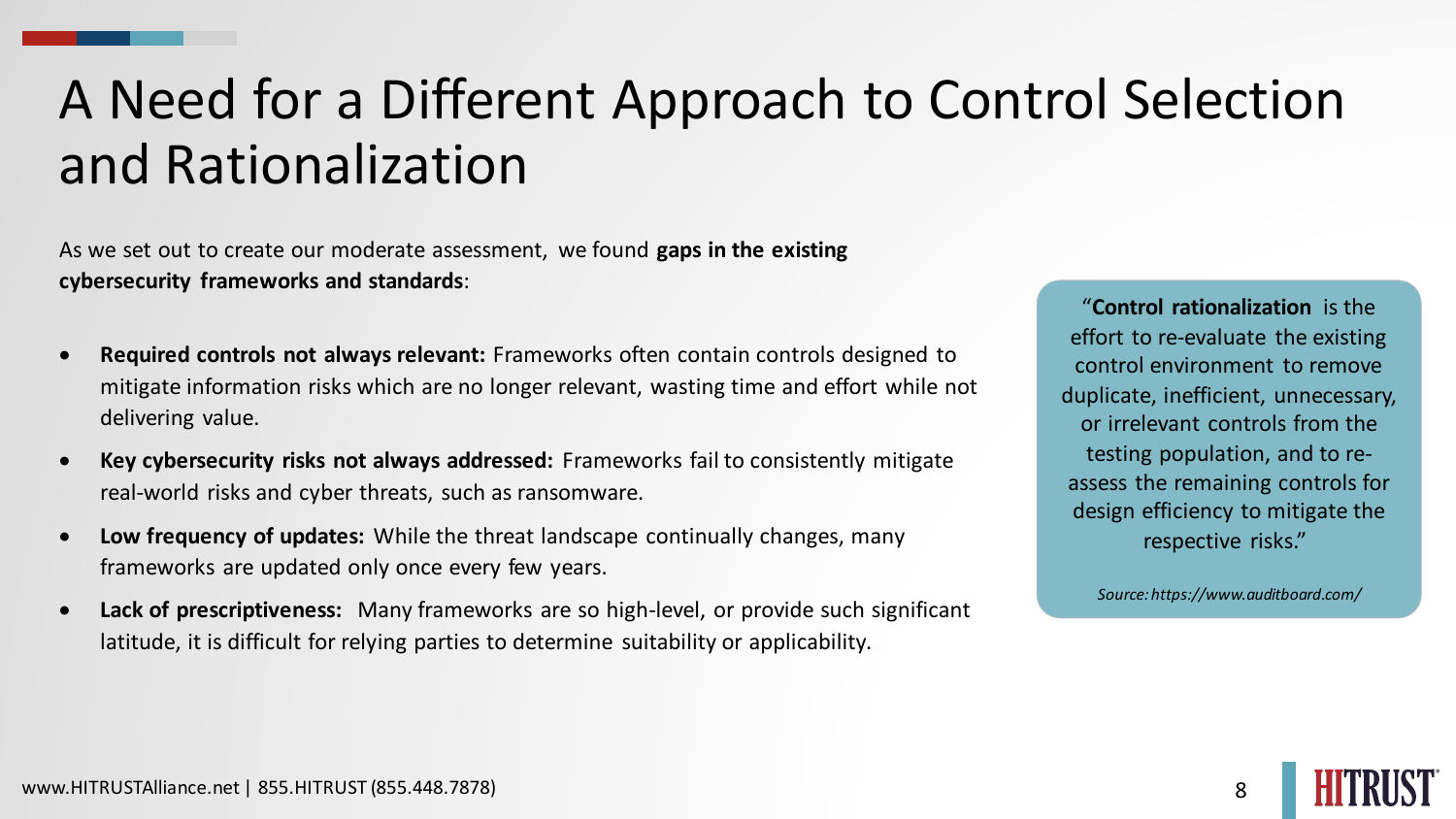### A Need for a Different Approach to Control Selection and Rationalization

As we set out to create our moderate assessment, we found **gaps in the existing cybersecurity frameworks and standards**:

- **Required controls not always relevant:** Frameworks often contain controls designed to mitigate information risks which are no longer relevant, wasting time and effort while not delivering value.
- **Key cybersecurity risks not always addressed:** Frameworks fail to consistently mitigate real-world risks and cyber threats, such as ransomware.
- **Low frequency of updates:** While the threat landscape continually changes, many frameworks are updated only once every few years.
- **Lack of prescriptiveness:** Many frameworks are so high-level, or provide such significant latitude, it is difficult for relying parties to determine suitability or applicability.

"**Control rationalization** is the effort to re-evaluate the existing control environment to remove duplicate, inefficient, unnecessary, or irrelevant controls from the testing population, and to reassess the remaining controls for design efficiency to mitigate the respective risks."

*Source: https://www.auditboard.com/*

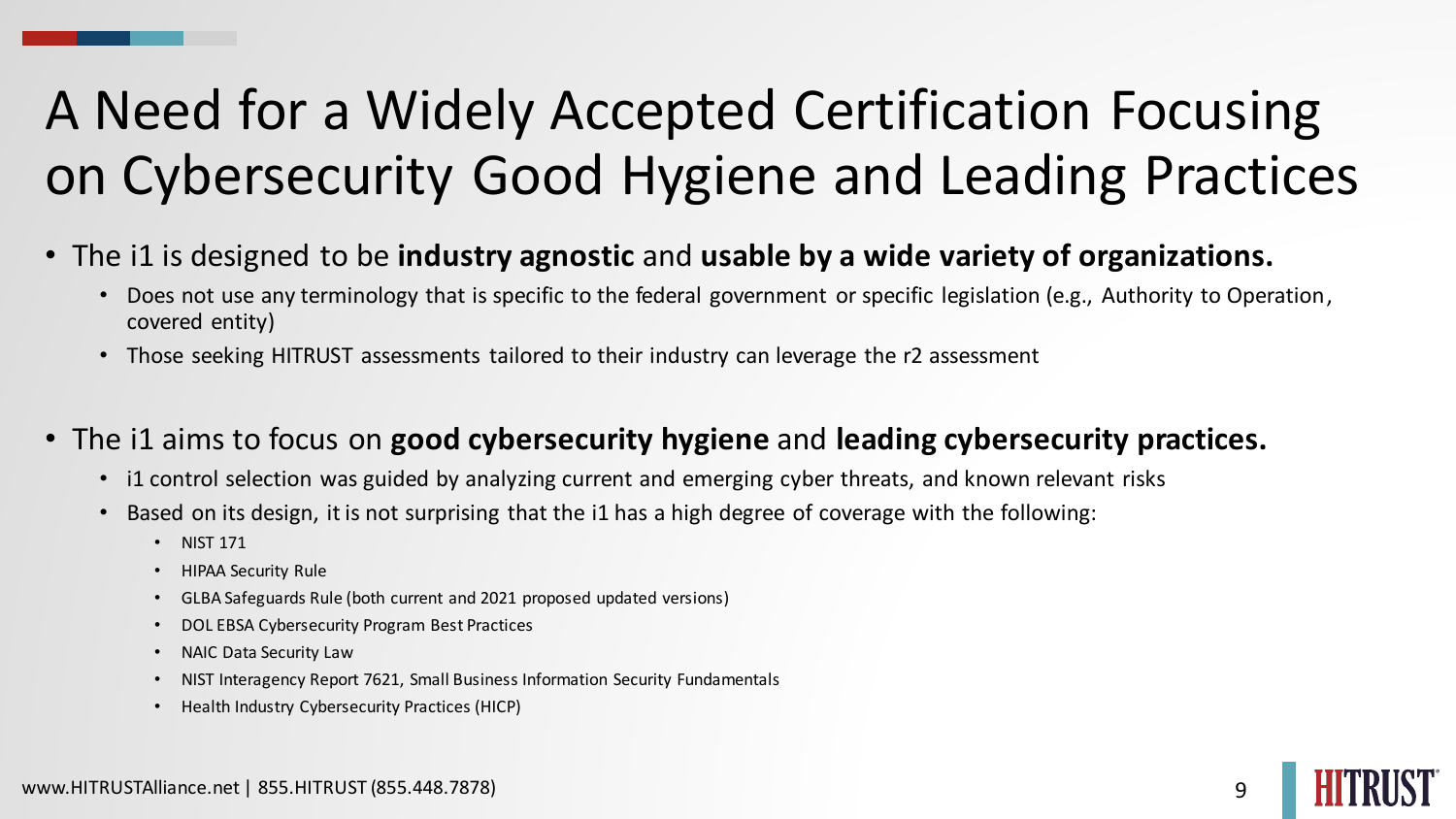### A Need for a Widely Accepted Certification Focusing on Cybersecurity Good Hygiene and Leading Practices

- The i1 is designed to be **industry agnostic** and **usable by a wide variety of organizations.**
	- Does not use any terminology that is specific to the federal government or specific legislation (e.g., Authority to Operation, covered entity)
	- Those seeking HITRUST assessments tailored to their industry can leverage the r2 assessment
- The i1 aims to focus on **good cybersecurity hygiene** and **leading cybersecurity practices.**
	- i1 control selection was guided by analyzing current and emerging cyber threats, and known relevant risks
	- Based on its design, it is not surprising that the i1 has a high degree of coverage with the following:
		- NIST 171
		- HIPAA Security Rule
		- GLBA Safeguards Rule (both current and 2021 proposed updated versions)
		- DOL EBSA Cybersecurity Program Best Practices
		- NAIC Data Security Law
		- NIST Interagency Report 7621, Small Business Information Security Fundamentals
		- Health Industry Cybersecurity Practices (HICP)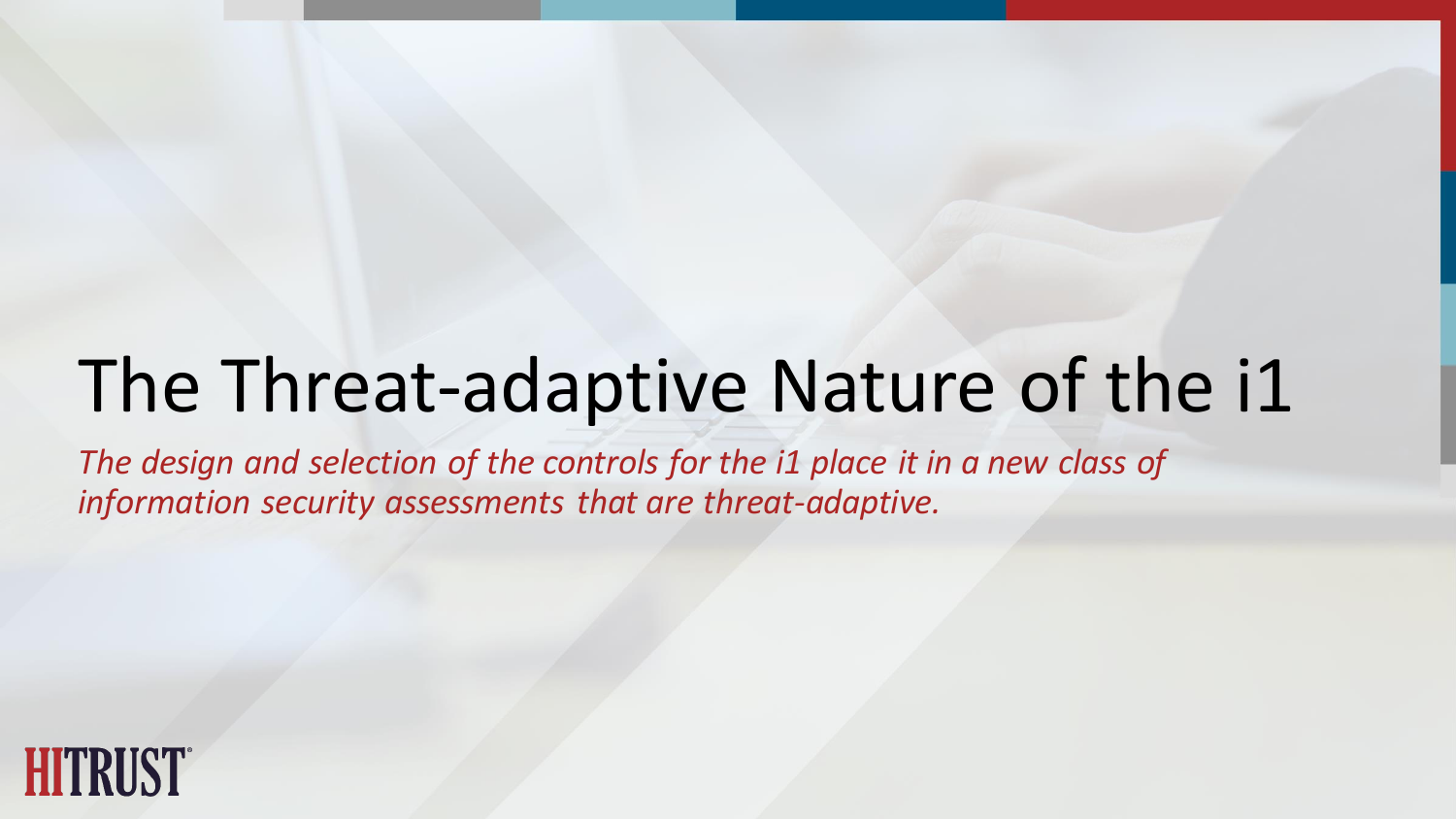# The Threat-adaptive Nature of the i1

*The design and selection of the controls for the i1 place it in a new class of information security assessments that are threat-adaptive.*

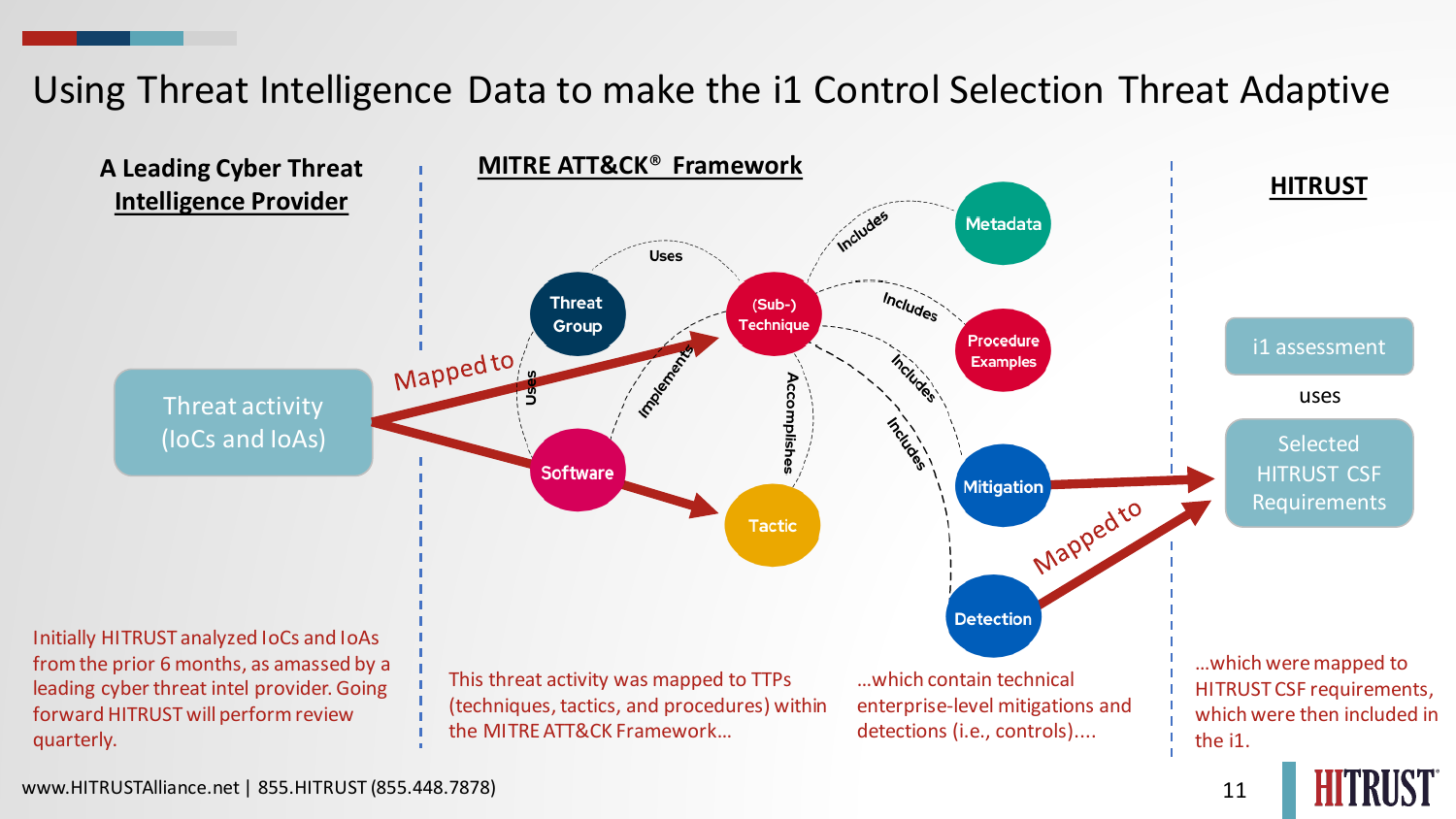#### Using Threat Intelligence Data to make the i1 Control Selection Threat Adaptive

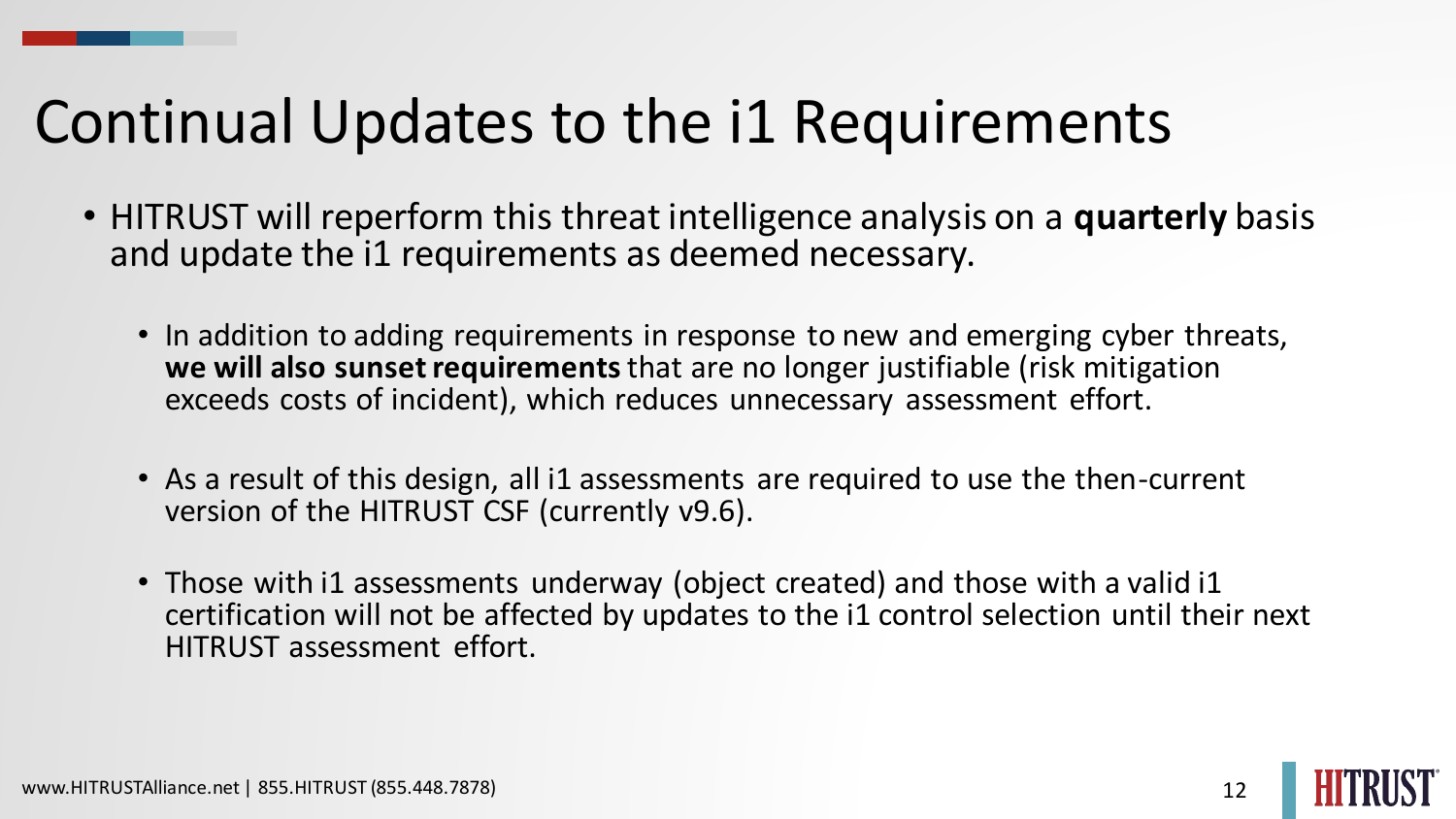### Continual Updates to the i1 Requirements

- HITRUST will reperform this threat intelligence analysis on a **quarterly** basis and update the i1 requirements as deemed necessary.
	- In addition to adding requirements in response to new and emerging cyber threats, **we will also sunset requirements**that are no longer justifiable (risk mitigation exceeds costs of incident), which reduces unnecessary assessment effort.
	- As a result of this design, all i1 assessments are required to use the then-current version of the HITRUST CSF (currently v9.6).
	- Those with i1 assessments underway (object created) and those with a valid i1 certification will not be affected by updates to the i1 control selection until their next HITRUST assessment effort.

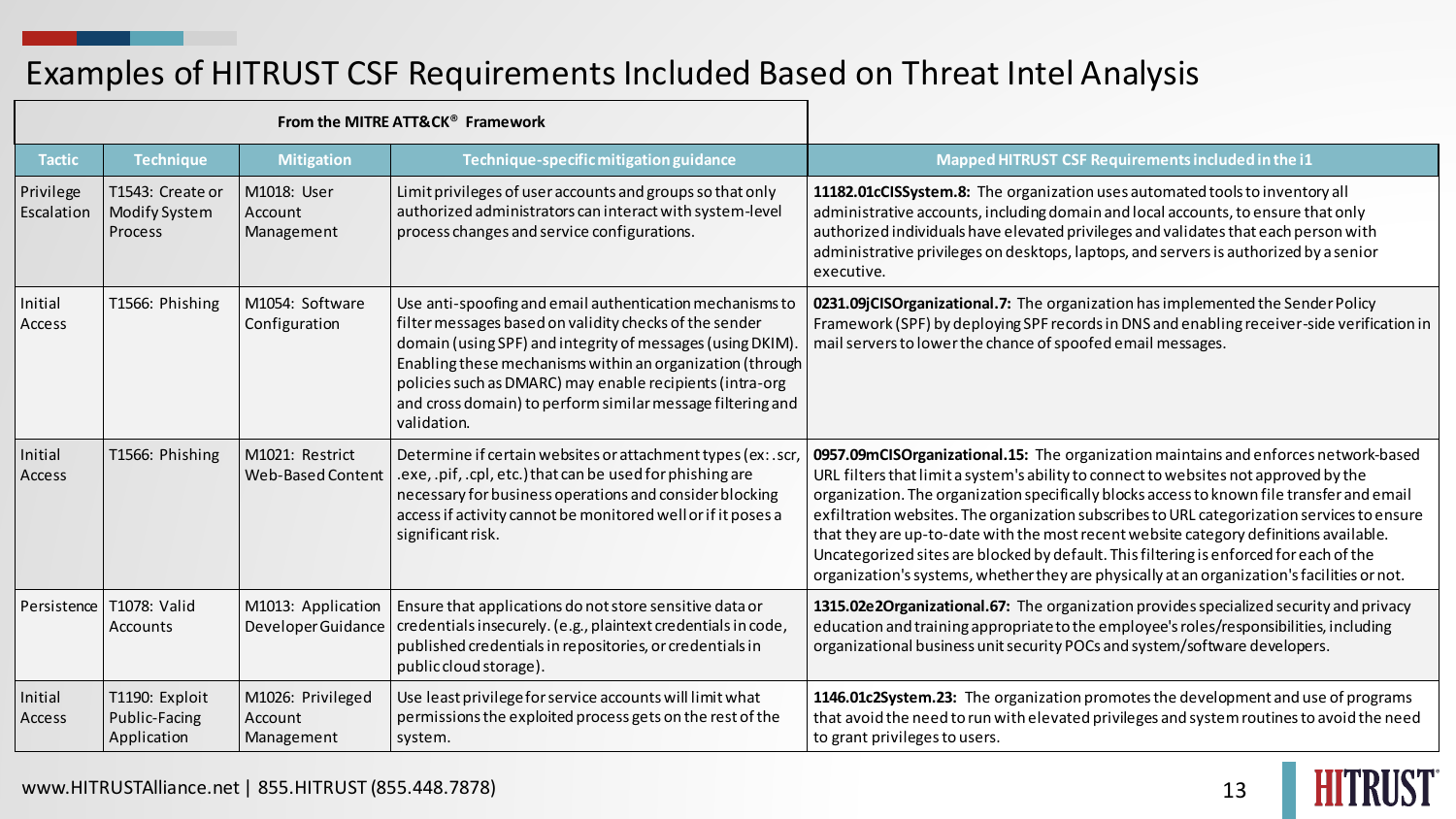#### Examples of HITRUST CSF Requirements Included Based on Threat Intel Analysis

| From the MITRE ATT&CK <sup>®</sup> Framework |                                                |                                            |                                                                                                                                                                                                                                                                                                                                                                                       |                                                                                                                                                                                                                                                                                                                                                                                                                                                                                                                                                                                                                                                            |
|----------------------------------------------|------------------------------------------------|--------------------------------------------|---------------------------------------------------------------------------------------------------------------------------------------------------------------------------------------------------------------------------------------------------------------------------------------------------------------------------------------------------------------------------------------|------------------------------------------------------------------------------------------------------------------------------------------------------------------------------------------------------------------------------------------------------------------------------------------------------------------------------------------------------------------------------------------------------------------------------------------------------------------------------------------------------------------------------------------------------------------------------------------------------------------------------------------------------------|
| <b>Tactic</b>                                | <b>Technique</b>                               | <b>Mitigation</b>                          | Technique-specific mitigation guidance                                                                                                                                                                                                                                                                                                                                                | Mapped HITRUST CSF Requirements included in the i1                                                                                                                                                                                                                                                                                                                                                                                                                                                                                                                                                                                                         |
| Privilege<br>Escalation                      | T1543: Create or<br>Modify System<br>Process   | M1018: User<br>Account<br>Management       | Limit privileges of user accounts and groups so that only<br>authorized administrators can interact with system-level<br>process changes and service configurations.                                                                                                                                                                                                                  | 11182.01cCISSystem.8: The organization uses automated tools to inventory all<br>administrative accounts, including domain and local accounts, to ensure that only<br>authorized individuals have elevated privileges and validates that each person with<br>administrative privileges on desktops, laptops, and servers is authorized by a senior<br>executive.                                                                                                                                                                                                                                                                                            |
| Initial<br>Access                            | T1566: Phishing                                | M1054: Software<br>Configuration           | Use anti-spoofing and email authentication mechanisms to<br>filter messages based on validity checks of the sender<br>domain (using SPF) and integrity of messages (using DKIM)<br>Enabling these mechanisms within an organization (through<br>policies such as DMARC) may enable recipients (intra-org<br>and cross domain) to perform similar message filtering and<br>validation. | 0231.09jCISOrganizational.7: The organization has implemented the Sender Policy<br>Framework (SPF) by deploying SPF records in DNS and enabling receiver-side verification in<br>mail servers to lower the chance of spoofed email messages.                                                                                                                                                                                                                                                                                                                                                                                                               |
| Initial<br>Access                            | T1566: Phishing                                | M1021: Restrict<br>Web-Based Content       | Determine if certain websites or attachment types (ex: .scr<br>.exe, .pif, .cpl, etc.) that can be used for phishing are<br>necessary for business operations and consider blocking<br>access if activity cannot be monitored well or if it poses a<br>significant risk.                                                                                                              | 0957.09mCISOrganizational.15: The organization maintains and enforces network-based<br>URL filters that limit a system's ability to connect to websites not approved by the<br>organization. The organization specifically blocks access to known file transfer and email<br>exfiltration websites. The organization subscribes to URL categorization services to ensure<br>that they are up-to-date with the most recent website category definitions available.<br>Uncategorized sites are blocked by default. This filtering is enforced for each of the<br>organization's systems, whether they are physically at an organization's facilities or not. |
| Persistence                                  | T1078: Valid<br>Accounts                       | M1013: Application<br>Developer Guidance   | Ensure that applications do not store sensitive data or<br>credentials insecurely. (e.g., plaintext credentials in code,<br>published credentials in repositories, or credentials in<br>public cloud storage).                                                                                                                                                                        | 1315.02e2Organizational.67: The organization provides specialized security and privacy<br>education and training appropriate to the employee's roles/responsibilities, including<br>organizational business unit security POCs and system/software developers.                                                                                                                                                                                                                                                                                                                                                                                             |
| Initial<br>Access                            | T1190: Exploit<br>Public-Facing<br>Application | M1026: Privileged<br>Account<br>Management | Use least privilege for service accounts will limit what<br>permissions the exploited process gets on the rest of the<br>system.                                                                                                                                                                                                                                                      | 1146.01c2System.23: The organization promotes the development and use of programs<br>that avoid the need to run with elevated privileges and system routines to avoid the need<br>to grant privileges to users.                                                                                                                                                                                                                                                                                                                                                                                                                                            |

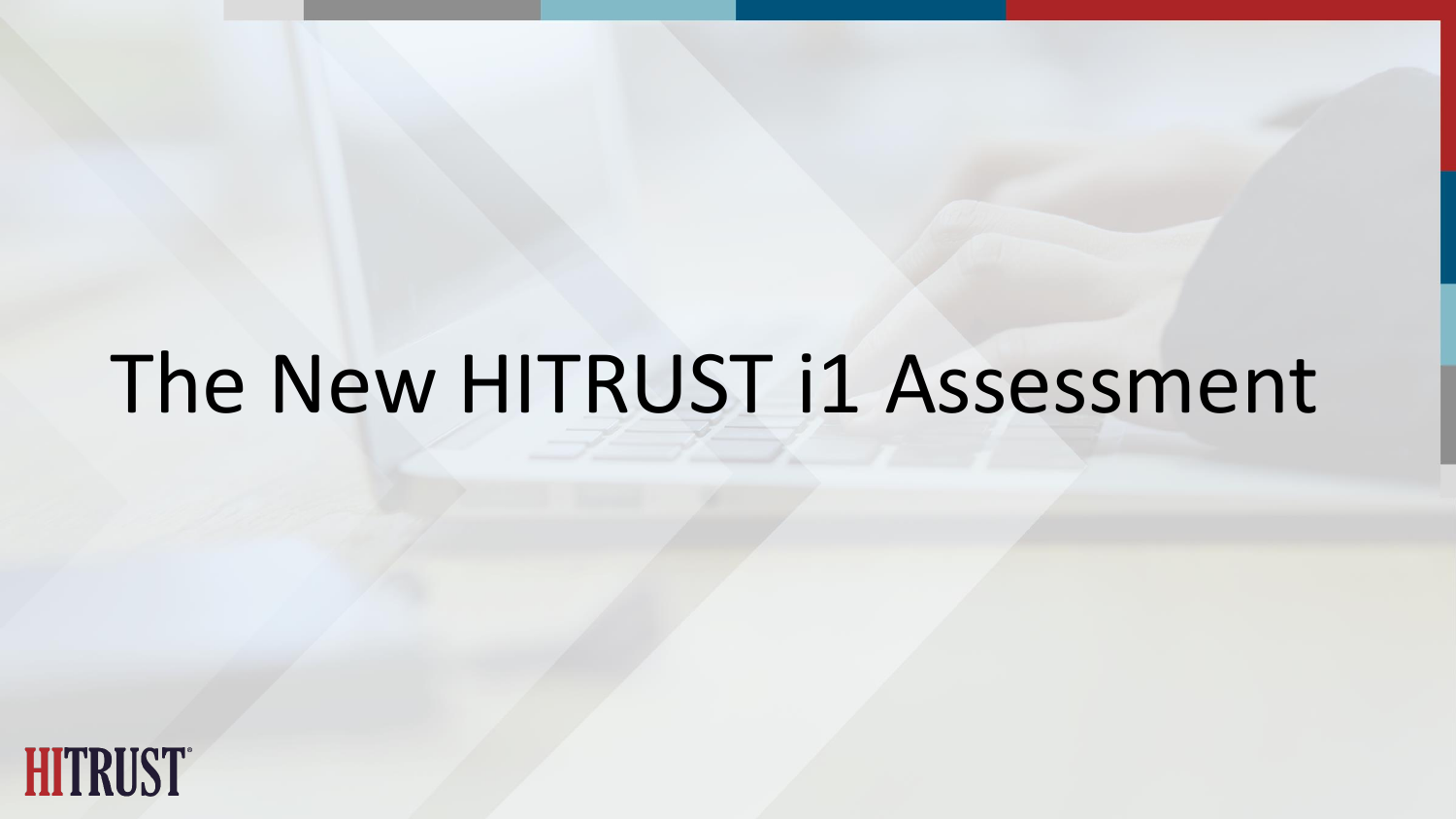# The New HITRUST i1 Assessment

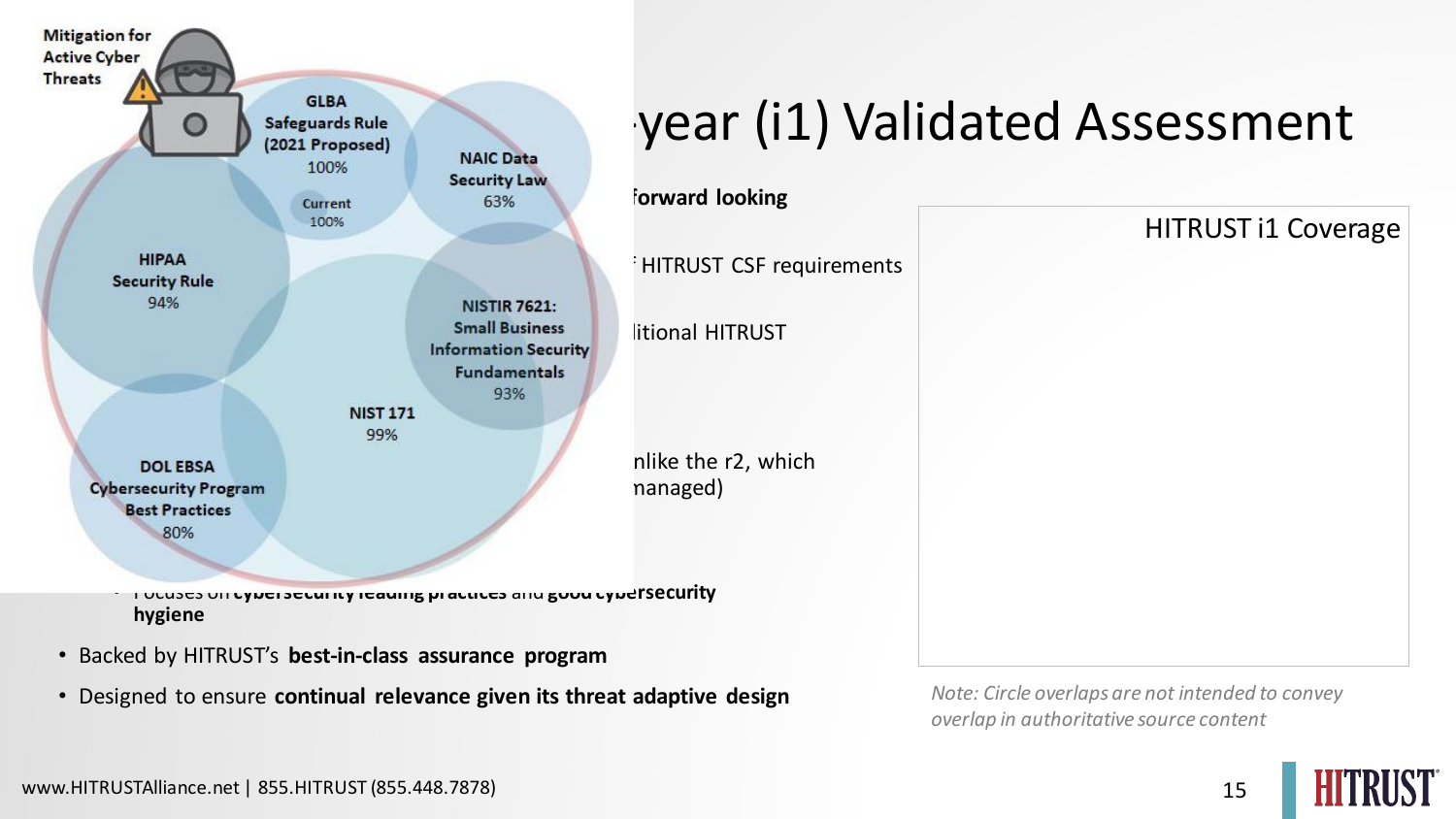

• Designed to ensure **continual relevance given its threat adaptive design** *Note: Circle overlaps are not intended to convey* 

## Safeguards Rule Reguards Rule Reguards Rule Reguards Rule Reguards Rule Reguards Rule Reguards Rule Reguard Regular Regular Regular Regular Regular Regular Regular Regular Regular Regular Regular Regular Regular Regular Re

*overlap in authoritative source content*



HITRUST i1 Coverage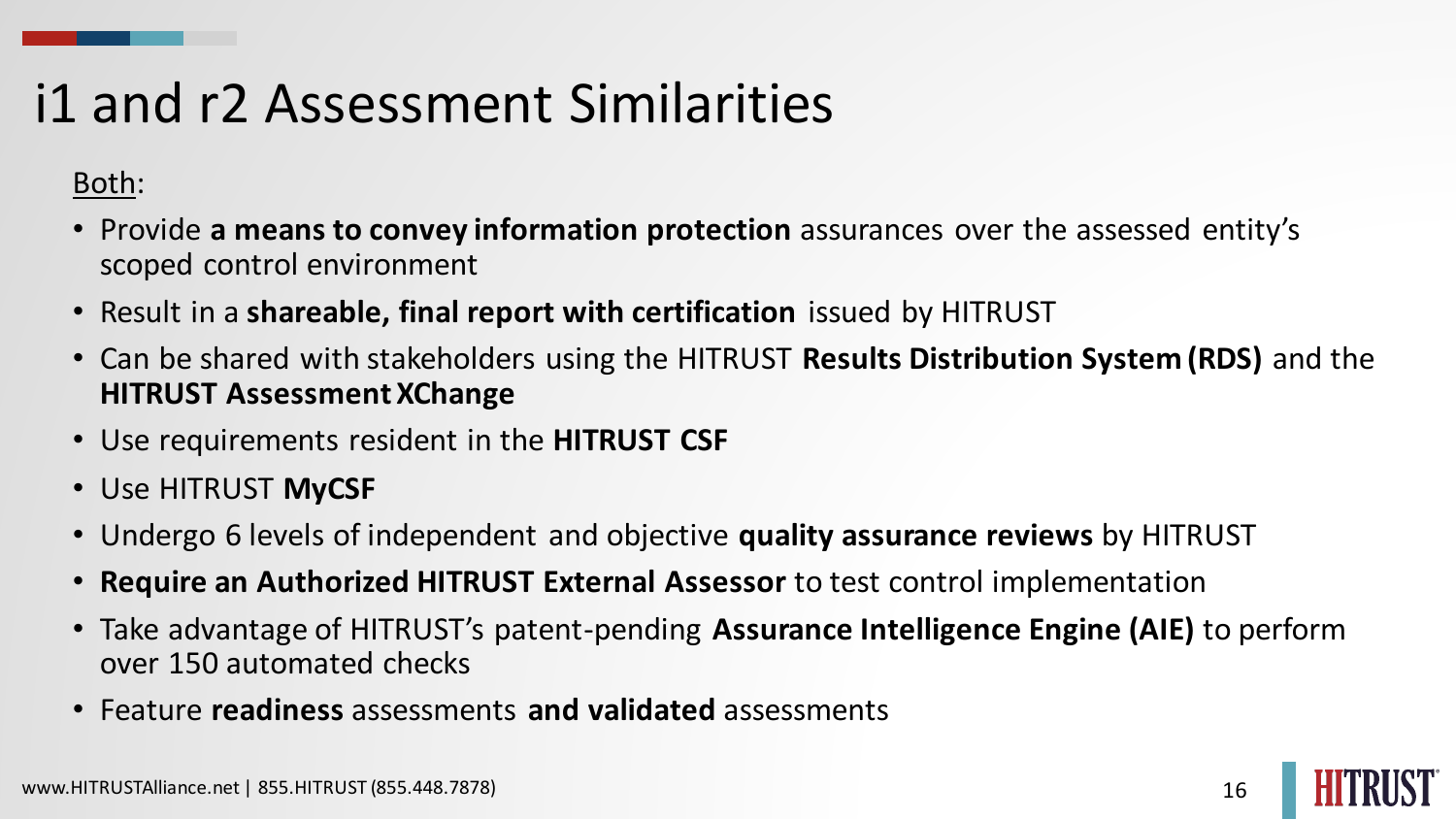### i1 and r2 Assessment Similarities

#### Both:

- Provide **a means to convey information protection** assurances over the assessed entity's scoped control environment
- Result in a **shareable, final report with certification** issued by HITRUST
- Can be shared with stakeholders using the HITRUST **Results Distribution System (RDS)** and the **HITRUST Assessment XChange**
- Use requirements resident in the **HITRUST CSF**
- Use HITRUST **MyCSF**
- Undergo 6 levels of independent and objective **quality assurance reviews** by HITRUST
- **Require an Authorized HITRUST External Assessor** to test control implementation
- Take advantage of HITRUST's patent-pending **Assurance Intelligence Engine (AIE)** to perform over 150 automated checks
- Feature **readiness** assessments **and validated** assessments

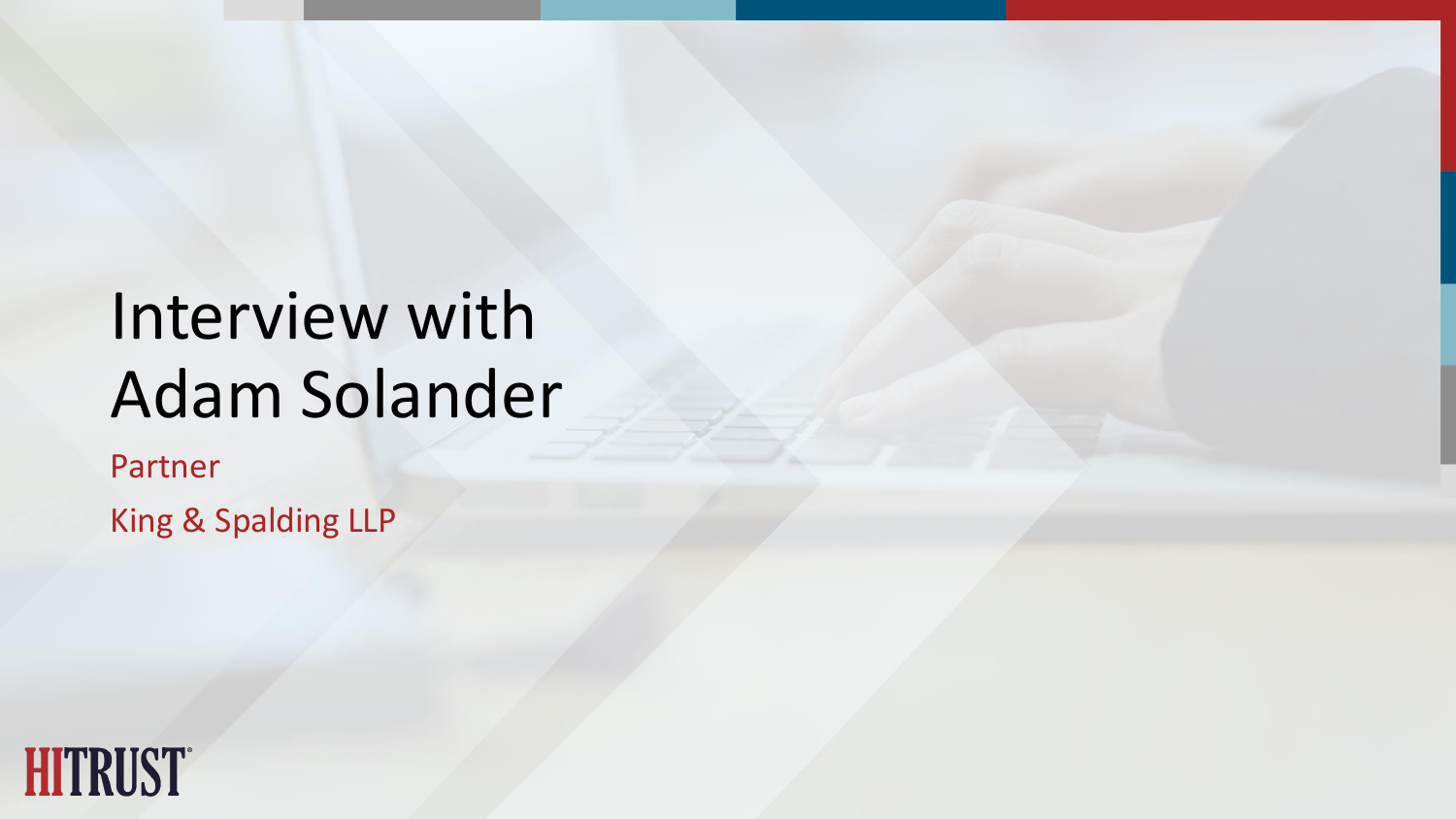# Interview with Adam Solander

Partner King & Spalding LLP

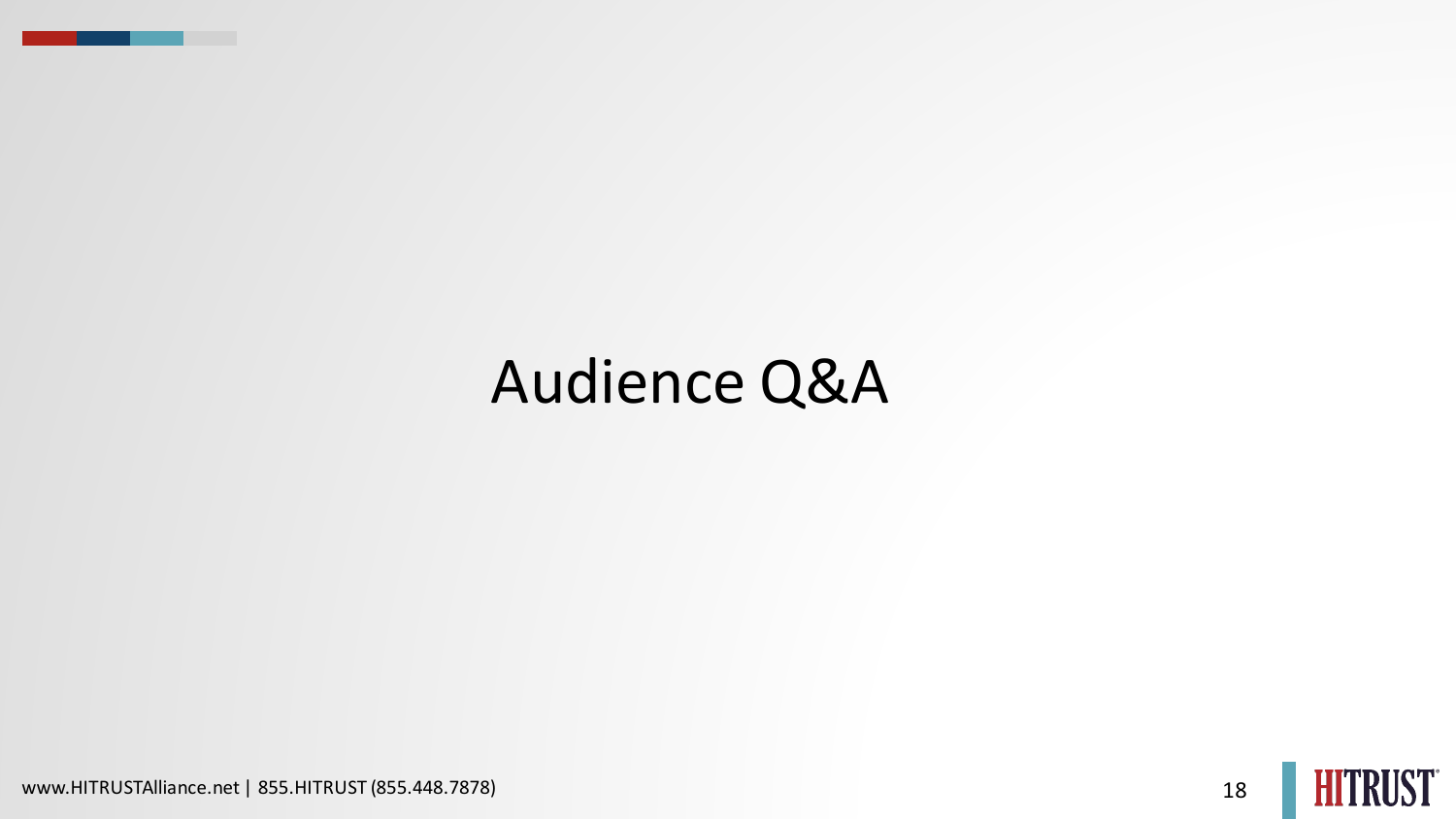### Audience Q&A